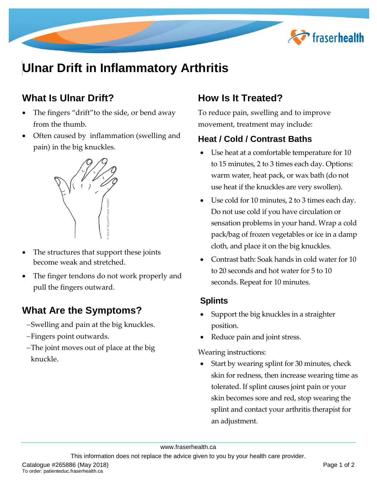

# **Ulnar Drift in Inflammatory Arthritis**

## **What Is Ulnar Drift?**

- The fingers "drift"to the side, or bend away from the thumb.
- Often caused by inflammation (swelling and pain) in the big knuckles.



- The structures that support these joints become weak and stretched.
- The finger tendons do not work properly and pull the fingers outward.

### **What Are the Symptoms?**

- -Swelling and pain at the big knuckles.
- Fingers point outwards.
- The joint moves out of place at the big knuckle.

## **How Is It Treated?**

To reduce pain, swelling and to improve movement, treatment may include:

#### **Heat / Cold / Contrast Baths**

- Use heat at a comfortable temperature for 10 to 15 minutes, 2 to 3 times each day. Options: warm water, heat pack, or wax bath (do not use heat if the knuckles are very swollen).
- Use cold for 10 minutes, 2 to 3 times each day. Do not use cold if you have circulation or sensation problems in your hand. Wrap a cold pack/bag of frozen vegetables or ice in a damp cloth, and place it on the big knuckles.
- Contrast bath: Soak hands in cold water for 10 to 20 seconds and hot water for 5 to 10 seconds. Repeat for 10 minutes.

#### **Splints**

- Support the big knuckles in a straighter position.
- Reduce pain and joint stress.

Wearing instructions:

 Start by wearing splint for 30 minutes, check skin for redness, then increase wearing time as tolerated. If splint causes joint pain or your skin becomes sore and red, stop wearing the splint and contact your arthritis therapist for an adjustment.